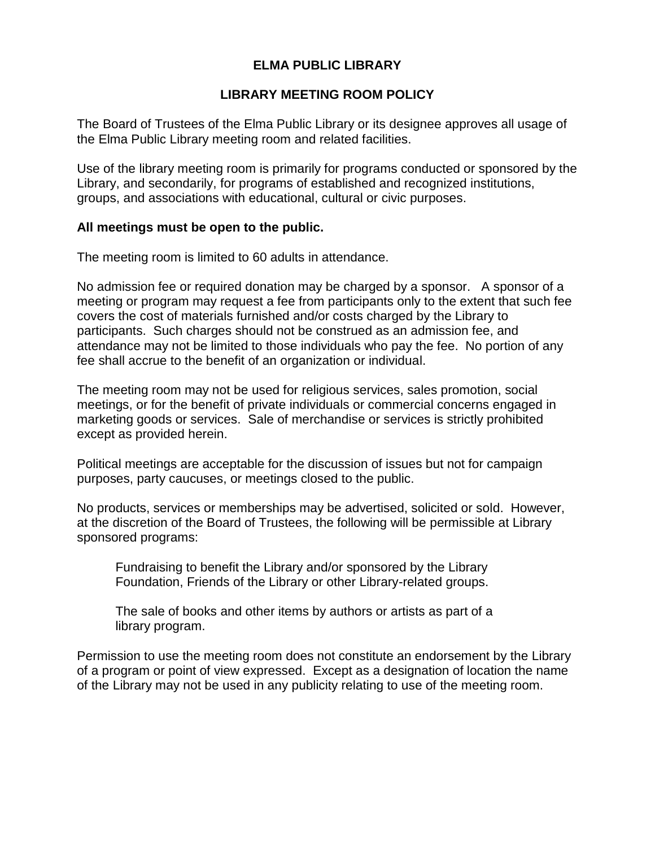## **ELMA PUBLIC LIBRARY**

## **LIBRARY MEETING ROOM POLICY**

The Board of Trustees of the Elma Public Library or its designee approves all usage of the Elma Public Library meeting room and related facilities.

Use of the library meeting room is primarily for programs conducted or sponsored by the Library, and secondarily, for programs of established and recognized institutions, groups, and associations with educational, cultural or civic purposes.

#### **All meetings must be open to the public.**

The meeting room is limited to 60 adults in attendance.

No admission fee or required donation may be charged by a sponsor. A sponsor of a meeting or program may request a fee from participants only to the extent that such fee covers the cost of materials furnished and/or costs charged by the Library to participants. Such charges should not be construed as an admission fee, and attendance may not be limited to those individuals who pay the fee. No portion of any fee shall accrue to the benefit of an organization or individual.

The meeting room may not be used for religious services, sales promotion, social meetings, or for the benefit of private individuals or commercial concerns engaged in marketing goods or services. Sale of merchandise or services is strictly prohibited except as provided herein.

Political meetings are acceptable for the discussion of issues but not for campaign purposes, party caucuses, or meetings closed to the public.

No products, services or memberships may be advertised, solicited or sold. However, at the discretion of the Board of Trustees, the following will be permissible at Library sponsored programs:

Fundraising to benefit the Library and/or sponsored by the Library Foundation, Friends of the Library or other Library-related groups.

The sale of books and other items by authors or artists as part of a library program.

Permission to use the meeting room does not constitute an endorsement by the Library of a program or point of view expressed. Except as a designation of location the name of the Library may not be used in any publicity relating to use of the meeting room.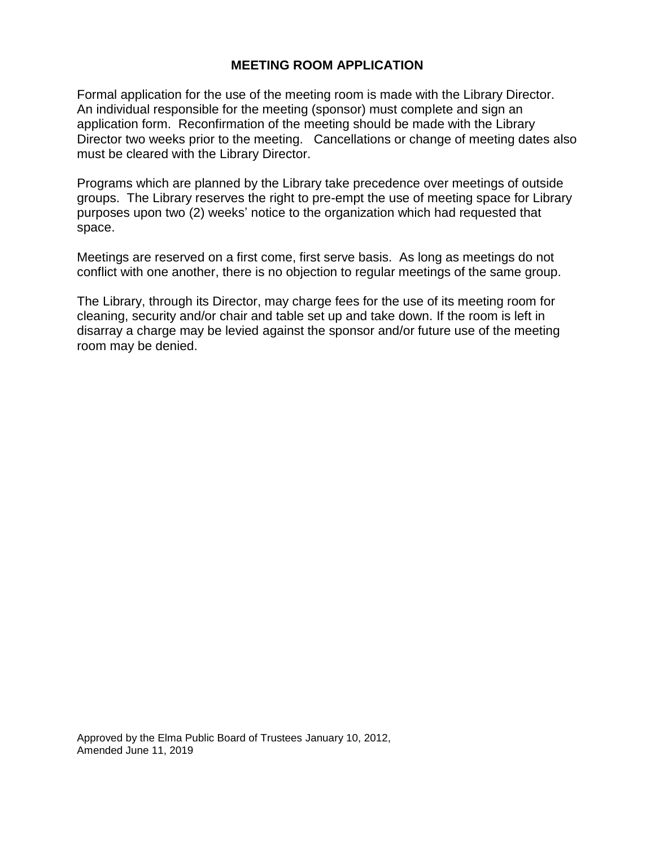#### **MEETING ROOM APPLICATION**

Formal application for the use of the meeting room is made with the Library Director. An individual responsible for the meeting (sponsor) must complete and sign an application form. Reconfirmation of the meeting should be made with the Library Director two weeks prior to the meeting. Cancellations or change of meeting dates also must be cleared with the Library Director.

Programs which are planned by the Library take precedence over meetings of outside groups. The Library reserves the right to pre-empt the use of meeting space for Library purposes upon two (2) weeks' notice to the organization which had requested that space.

Meetings are reserved on a first come, first serve basis. As long as meetings do not conflict with one another, there is no objection to regular meetings of the same group.

The Library, through its Director, may charge fees for the use of its meeting room for cleaning, security and/or chair and table set up and take down. If the room is left in disarray a charge may be levied against the sponsor and/or future use of the meeting room may be denied.

Approved by the Elma Public Board of Trustees January 10, 2012, Amended June 11, 2019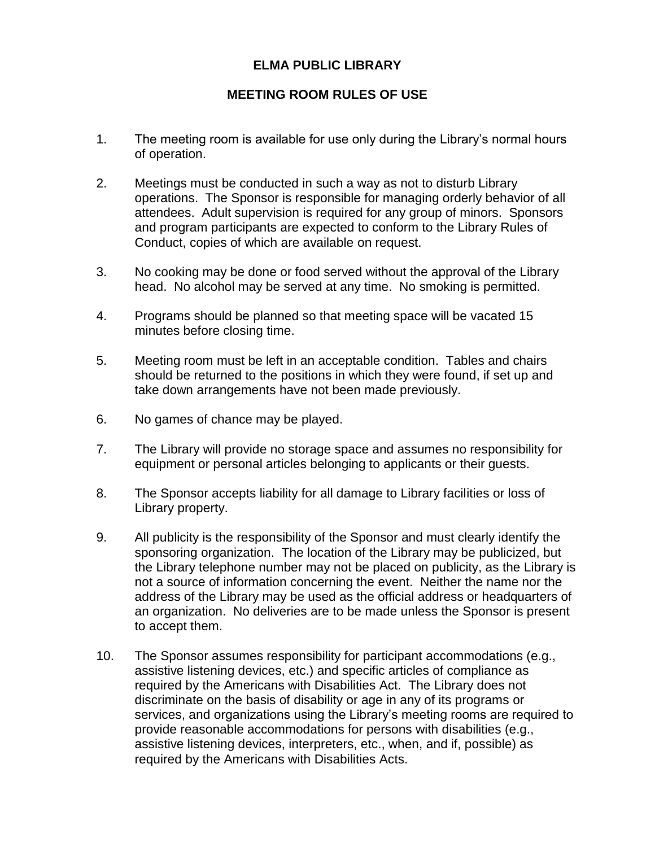## **ELMA PUBLIC LIBRARY**

## **MEETING ROOM RULES OF USE**

- 1. The meeting room is available for use only during the Library's normal hours of operation.
- 2. Meetings must be conducted in such a way as not to disturb Library operations. The Sponsor is responsible for managing orderly behavior of all attendees. Adult supervision is required for any group of minors. Sponsors and program participants are expected to conform to the Library Rules of Conduct, copies of which are available on request.
- 3. No cooking may be done or food served without the approval of the Library head. No alcohol may be served at any time. No smoking is permitted.
- 4. Programs should be planned so that meeting space will be vacated 15 minutes before closing time.
- 5. Meeting room must be left in an acceptable condition. Tables and chairs should be returned to the positions in which they were found, if set up and take down arrangements have not been made previously.
- 6. No games of chance may be played.
- 7. The Library will provide no storage space and assumes no responsibility for equipment or personal articles belonging to applicants or their guests.
- 8. The Sponsor accepts liability for all damage to Library facilities or loss of Library property.
- 9. All publicity is the responsibility of the Sponsor and must clearly identify the sponsoring organization. The location of the Library may be publicized, but the Library telephone number may not be placed on publicity, as the Library is not a source of information concerning the event. Neither the name nor the address of the Library may be used as the official address or headquarters of an organization. No deliveries are to be made unless the Sponsor is present to accept them.
- 10. The Sponsor assumes responsibility for participant accommodations (e.g., assistive listening devices, etc.) and specific articles of compliance as required by the Americans with Disabilities Act. The Library does not discriminate on the basis of disability or age in any of its programs or services, and organizations using the Library's meeting rooms are required to provide reasonable accommodations for persons with disabilities (e.g., assistive listening devices, interpreters, etc., when, and if, possible) as required by the Americans with Disabilities Acts.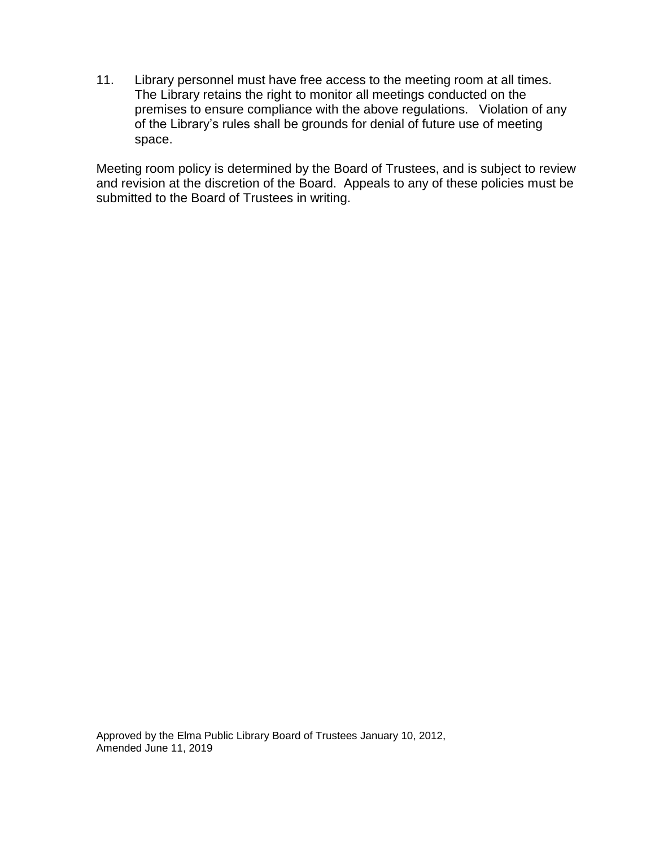11. Library personnel must have free access to the meeting room at all times. The Library retains the right to monitor all meetings conducted on the premises to ensure compliance with the above regulations. Violation of any of the Library's rules shall be grounds for denial of future use of meeting space.

Meeting room policy is determined by the Board of Trustees, and is subject to review and revision at the discretion of the Board. Appeals to any of these policies must be submitted to the Board of Trustees in writing.